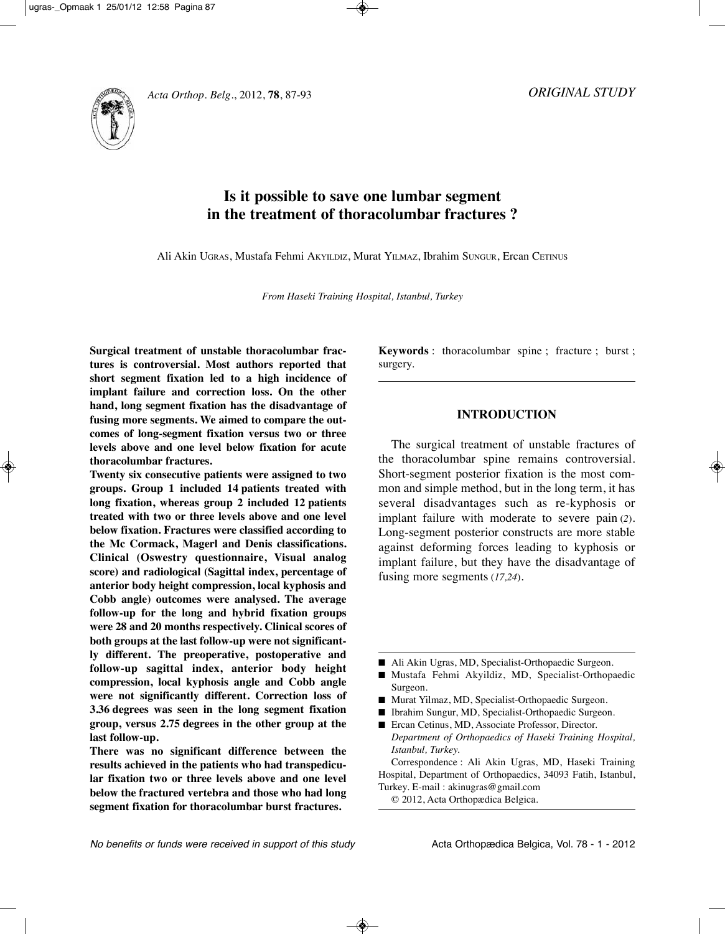*ORIGINAL STUDY*



# **Is it possible to save one lumbar segment in the treatment of thoracolumbar fractures ?**

Ali Akin UgrAS, Mustafa Fehmi AkYIlDIz, Murat YIlMAz, Ibrahim SUngUr, Ercan CETInUS

*From Haseki Training Hospital, Istanbul, Turkey*

**Surgical treatment of unstable thoracolumbar fractures is controversial. Most authors reported that short segment fixation led to a high incidence of implant failure and correction loss. On the other hand, long segment fixation has the disadvantage of fusing more segments. We aimed to compare the outcomes of long-segment fixation versus two or three levels above and one level below fixation for acute thoracolumbar fractures.**

**Twenty six consecutive patients were assigned to two groups. Group 1 included 14 patients treated with long fixation, whereas group 2 included 12 patients treated with two or three levels above and one level below fixation. Fractures were classified according to the Mc Cormack, Magerl and Denis classifications. Clinical (Oswestry questionnaire, Visual analog score) and radiological (Sagittal index, percentage of anterior body height compression, local kyphosis and Cobb angle) outcomes were analysed. The average follow-up for the long and hybrid fixation groups were 28 and 20 months respectively. Clinical scores of both groups at the last follow-up were not significantly different. The preoperative, postoperative and follow-up sagittal index, anterior body height compression, local kyphosis angle and Cobb angle were not significantly different. Correction loss of 3.36 degrees was seen in the long segment fixation group, versus 2.75 degrees in the other group at the last follow-up.**

**There was no significant difference between the results achieved in the patients who had transpedicular fixation two or three levels above and one level below the fractured vertebra and those who had long segment fixation for thoracolumbar burst fractures.**

**Keywords** : thoracolumbar spine ; fracture ; burst ; surgery.

## **INTRODUCTION**

The surgical treatment of unstable fractures of the thoracolumbar spine remains controversial. Short-segment posterior fixation is the most common and simple method, but in the long term, it has several disadvantages such as re-kyphosis or implant failure with moderate to severe pain (*2*). Long-segment posterior constructs are more stable against deforming forces leading to kyphosis or implant failure, but they have the disadvantage of fusing more segments (*17,24*).

- Ali Akin Ugras, MD, Specialist-Orthopaedic Surgeon.
- **■** Mustafa Fehmi Akyildiz, MD, Specialist-Orthopaedic Surgeon.
- Murat Yilmaz, MD, Specialist-Orthopaedic Surgeon.
- Ibrahim Sungur, MD, Specialist-Orthopaedic Surgeon.
- Ercan Cetinus, MD, Associate Professor, Director. *Department of Orthopaedics of Haseki Training Hospital, Istanbul, Turkey.*

Correspondence : Ali Akin Ugras, MD, Haseki Training Hospital, Department of Orthopaedics, 34093 Fatih, Istanbul, Turkey. E-mail : akinugras@gmail.com

© 2012, Acta Orthopædica Belgica.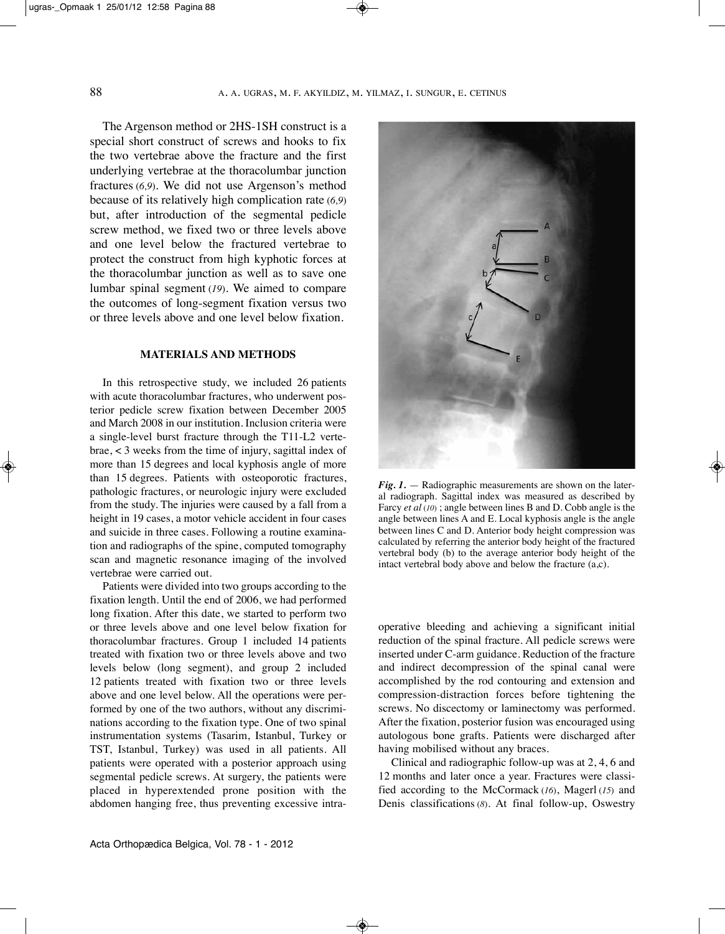The Argenson method or 2HS-1SH construct is a special short construct of screws and hooks to fix the two vertebrae above the fracture and the first underlying vertebrae at the thoracolumbar junction fractures (*6,9*). We did not use Argenson's method because of its relatively high complication rate (*6,9*) but, after introduction of the segmental pedicle screw method, we fixed two or three levels above and one level below the fractured vertebrae to protect the construct from high kyphotic forces at the thoracolumbar junction as well as to save one lumbar spinal segment (*19*). We aimed to compare the outcomes of long-segment fixation versus two or three levels above and one level below fixation.

#### **MATERIALS AND METHODS**

In this retrospective study, we included 26 patients with acute thoracolumbar fractures, who underwent posterior pedicle screw fixation between December 2005 and March 2008 in our institution. Inclusion criteria were a single-level burst fracture through the T11-l2 vertebrae, < 3 weeks from the time of injury, sagittal index of more than 15 degrees and local kyphosis angle of more than 15 degrees. Patients with osteoporotic fractures, pathologic fractures, or neurologic injury were excluded from the study. The injuries were caused by a fall from a height in 19 cases, a motor vehicle accident in four cases and suicide in three cases. Following a routine examination and radiographs of the spine, computed tomography scan and magnetic resonance imaging of the involved vertebrae were carried out.

Patients were divided into two groups according to the fixation length. Until the end of 2006, we had performed long fixation. After this date, we started to perform two or three levels above and one level below fixation for thoracolumbar fractures. Group 1 included 14 patients treated with fixation two or three levels above and two levels below (long segment), and group 2 included 12 patients treated with fixation two or three levels above and one level below. All the operations were performed by one of the two authors, without any discriminations according to the fixation type. One of two spinal instrumentation systems (Tasarim, Istanbul, Turkey or TST, Istanbul, Turkey) was used in all patients. All patients were operated with a posterior approach using segmental pedicle screws. At surgery, the patients were placed in hyperextended prone position with the abdomen hanging free, thus preventing excessive intra-



 $Fig. 1.$  — Radiographic measurements are shown on the lateral radiograph. Sagittal index was measured as described by Farcy *et al* (*10*) ; angle between lines B and D. Cobb angle is the angle between lines A and E. local kyphosis angle is the angle between lines C and D. Anterior body height compression was calculated by referring the anterior body height of the fractured vertebral body (b) to the average anterior body height of the intact vertebral body above and below the fracture (a,c).

operative bleeding and achieving a significant initial reduction of the spinal fracture. All pedicle screws were inserted under C-arm guidance. Reduction of the fracture and indirect decompression of the spinal canal were accomplished by the rod contouring and extension and compression-distraction forces before tightening the screws. No discectomy or laminectomy was performed. After the fixation, posterior fusion was encouraged using autologous bone grafts. Patients were discharged after having mobilised without any braces.

Clinical and radiographic follow-up was at 2, 4, 6 and 12 months and later once a year. Fractures were classified according to the McCormack (*16*), Magerl (*15*) and Denis classifications (*8*). At final follow-up, Oswestry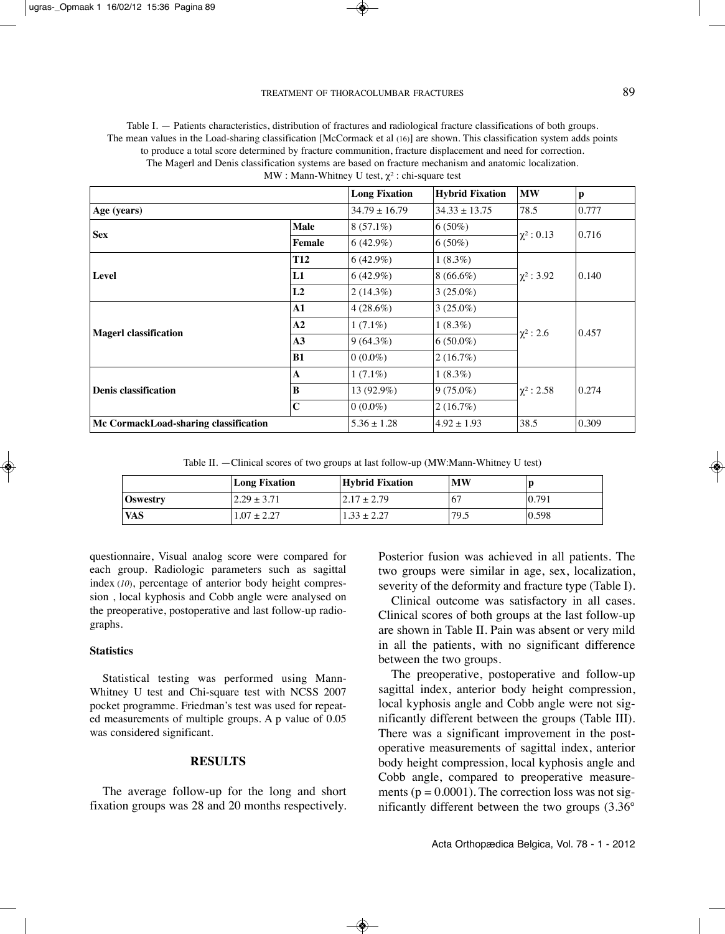Table I. — Patients characteristics, distribution of fractures and radiological fracture classifications of both groups. The mean values in the Load-sharing classification [McCormack et al (16)] are shown. This classification system adds points to produce a total score determined by fracture communition, fracture displacement and need for correction. The Magerl and Denis classification systems are based on fracture mechanism and anatomic localization. MW : Mann-Whitney U test,  $\chi^2$  : chi-square test

|                                       |             | <b>Long Fixation</b> | <b>Hybrid Fixation</b> | <b>MW</b>       | p     |
|---------------------------------------|-------------|----------------------|------------------------|-----------------|-------|
| Age (years)                           |             | $34.79 \pm 16.79$    | $34.33 \pm 13.75$      | 78.5            | 0.777 |
| <b>Sex</b>                            | <b>Male</b> | $8(57.1\%)$          | $6(50\%)$              | $\chi^2$ : 0.13 | 0.716 |
|                                       | Female      | $6(42.9\%)$          | $6(50\%)$              |                 |       |
|                                       | <b>T12</b>  | $6(42.9\%)$          | $1(8.3\%)$             |                 | 0.140 |
| Level                                 | L1          | $6(42.9\%)$          | $8(66.6\%)$            | $\chi^2$ : 3.92 |       |
|                                       | L2          | $2(14.3\%)$          | $3(25.0\%)$            |                 |       |
|                                       | ${\bf A1}$  | $4(28.6\%)$          | $3(25.0\%)$            |                 | 0.457 |
| <b>Magerl classification</b>          | A2          | $1(7.1\%)$           | $1(8.3\%)$             |                 |       |
|                                       | A3          | $9(64.3\%)$          | $6(50.0\%)$            | $\chi^2$ : 2.6  |       |
|                                       | B1          | $ 0.00\%$            | 2(16.7%)               |                 |       |
|                                       | $\mathbf A$ | $1(7.1\%)$           | $1(8.3\%)$             |                 | 0.274 |
| <b>Denis classification</b>           | B           | 13 (92.9%)           | $9(75.0\%)$            | $\chi^2$ : 2.58 |       |
|                                       | $\mathbf C$ | $0(0.0\%)$           | 2(16.7%)               |                 |       |
| Mc CormackLoad-sharing classification |             | $5.36 \pm 1.28$      | $4.92 \pm 1.93$        | 38.5            | 0.309 |

Table II. —Clinical scores of two groups at last follow-up (MW:Mann-Whitney U test)

|            | <b>Long Fixation</b> | Hybrid Fixation  | <b>MW</b> |       |
|------------|----------------------|------------------|-----------|-------|
| Oswestry   | $2.29 \pm 3.71$      | $12.17 \pm 2.79$ | -67       | 0.791 |
| <b>VAS</b> | $1.07 \pm 2.27$      | $1.33 \pm 2.27$  | 79.5      | 0.598 |

questionnaire, Visual analog score were compared for each group. Radiologic parameters such as sagittal index (*10*), percentage of anterior body height compression , local kyphosis and Cobb angle were analysed on the preoperative, postoperative and last follow-up radio graphs.

## **Statistics**

statistical testing was performed using Mann-Whitney U test and Chi-square test with NCSS 2007 pocket programme. friedman's test was used for repeated measurements of multiple groups. A p value of 0.05 was considered significant.

## **RESULTS**

The average follow-up for the long and short fixation groups was 28 and 20 months respectively. Posterior fusion was achieved in all patients. The two groups were similar in age, sex, localization, severity of the deformity and fracture type (Table I).

Clinical outcome was satisfactory in all cases. Clinical scores of both groups at the last follow-up are shown in Table II. Pain was absent or very mild in all the patients, with no significant difference between the two groups.

The preoperative, postoperative and follow-up sagittal index, anterior body height compression, local kyphosis angle and Cobb angle were not significantly different between the groups (Table III). There was a significant improvement in the postoperative measurements of sagittal index, anterior body height compression, local kyphosis angle and Cobb angle, compared to preoperative measurements ( $p = 0.0001$ ). The correction loss was not significantly different between the two groups (3.36°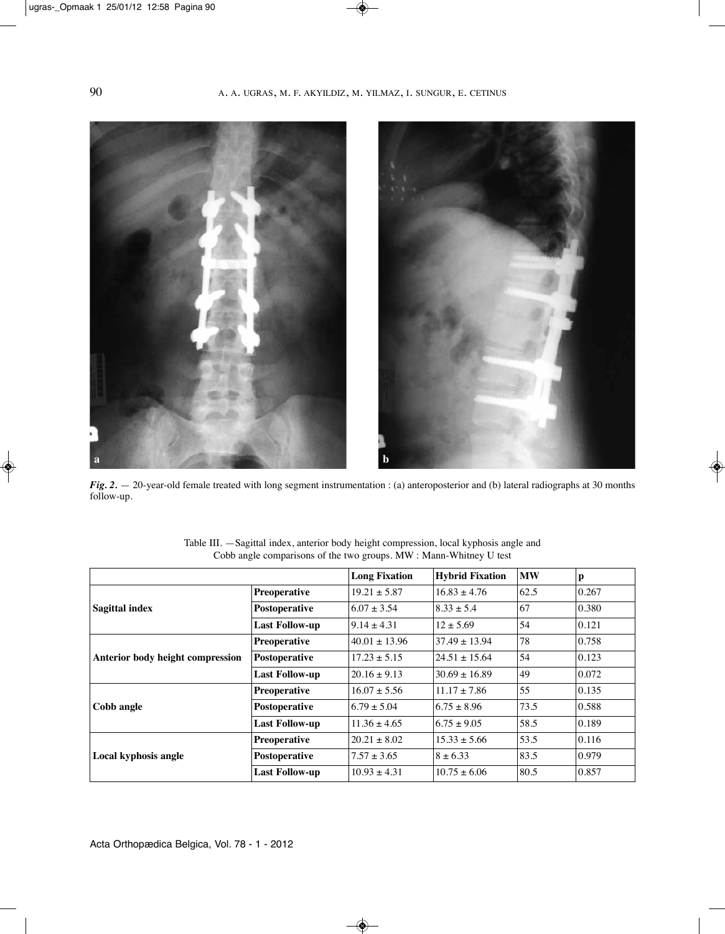

*Fig. 2.* — 20-year-old female treated with long segment instrumentation : (a) anteroposterior and (b) lateral radiographs at 30 months follow-up.

|                                  |                       | <b>Long Fixation</b> | <b>Hybrid Fixation</b> | <b>MW</b> | p     |
|----------------------------------|-----------------------|----------------------|------------------------|-----------|-------|
| <b>Sagittal index</b>            | <b>Preoperative</b>   | $19.21 \pm 5.87$     | $16.83 \pm 4.76$       | 62.5      | 0.267 |
|                                  | Postoperative         | $6.07 \pm 3.54$      | $8.33 \pm 5.4$         | 67        | 0.380 |
|                                  | <b>Last Follow-up</b> | $9.14 \pm 4.31$      | $12 \pm 5.69$          | 54        | 0.121 |
| Anterior body height compression | <b>Preoperative</b>   | $40.01 \pm 13.96$    | $37.49 \pm 13.94$      | 78        | 0.758 |
|                                  | Postoperative         | $17.23 \pm 5.15$     | $24.51 \pm 15.64$      | 54        | 0.123 |
|                                  | <b>Last Follow-up</b> | $20.16 \pm 9.13$     | $30.69 \pm 16.89$      | 49        | 0.072 |
| Cobb angle                       | <b>Preoperative</b>   | $16.07 \pm 5.56$     | $11.17 \pm 7.86$       | 55        | 0.135 |
|                                  | Postoperative         | $6.79 \pm 5.04$      | $6.75 \pm 8.96$        | 73.5      | 0.588 |
|                                  | <b>Last Follow-up</b> | $11.36 \pm 4.65$     | $6.75 \pm 9.05$        | 58.5      | 0.189 |
| Local kyphosis angle             | <b>Preoperative</b>   | $20.21 \pm 8.02$     | $15.33 \pm 5.66$       | 53.5      | 0.116 |
|                                  | Postoperative         | $7.57 \pm 3.65$      | $8 + 6.33$             | 83.5      | 0.979 |
|                                  | <b>Last Follow-up</b> | $10.93 \pm 4.31$     | $10.75 \pm 6.06$       | 80.5      | 0.857 |

Table III. —Sagittal index, anterior body height compression, local kyphosis angle and Cobb angle comparisons of the two groups. MW : Mann-Whitney U test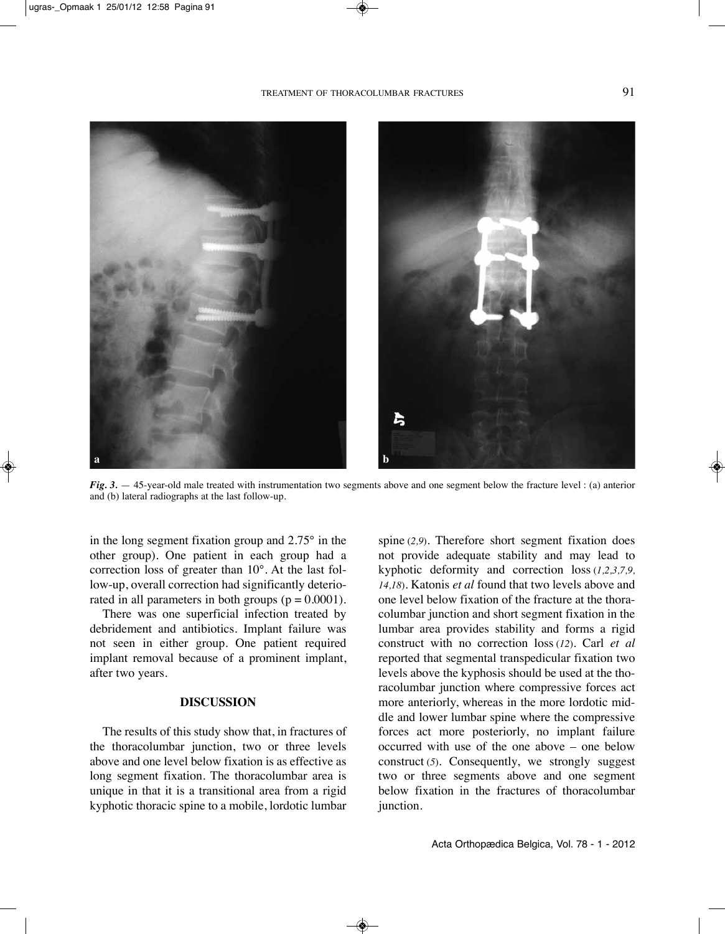

*Fig. 3.* — 45-year-old male treated with instrumentation two segments above and one segment below the fracture level : (a) anterior and (b) lateral radiographs at the last follow-up.

in the long segment fixation group and 2.75° in the other group). One patient in each group had a correction loss of greater than 10°. At the last follow-up, overall correction had significantly deteriorated in all parameters in both groups  $(p = 0.0001)$ .

There was one superficial infection treated by debridement and antibiotics. Implant failure was not seen in either group. One patient required implant removal because of a prominent implant, after two years.

#### **DISCUSSION**

The results of this study show that, in fractures of the thoracolumbar junction, two or three levels above and one level below fixation is as effective as long segment fixation. The thoracolumbar area is unique in that it is a transitional area from a rigid kyphotic thoracic spine to a mobile, lordotic lumbar

spine (*2,9*). Therefore short segment fixation does not provide adequate stability and may lead to kyphotic deformity and correction loss (*1,2,3,7,9, 14,18*). katonis *et al* found that two levels above and one level below fixation of the fracture at the thoracolumbar junction and short segment fixation in the lumbar area provides stability and forms a rigid construct with no correction loss (*12*). Carl *et al* reported that segmental transpedicular fixation two levels above the kyphosis should be used at the thoracolumbar junction where compressive forces act more anteriorly, whereas in the more lordotic middle and lower lumbar spine where the compressive forces act more posteriorly, no implant failure occurred with use of the one above – one below construct (*5*). Consequently, we strongly suggest two or three segments above and one segment below fixation in the fractures of thoracolumbar junction.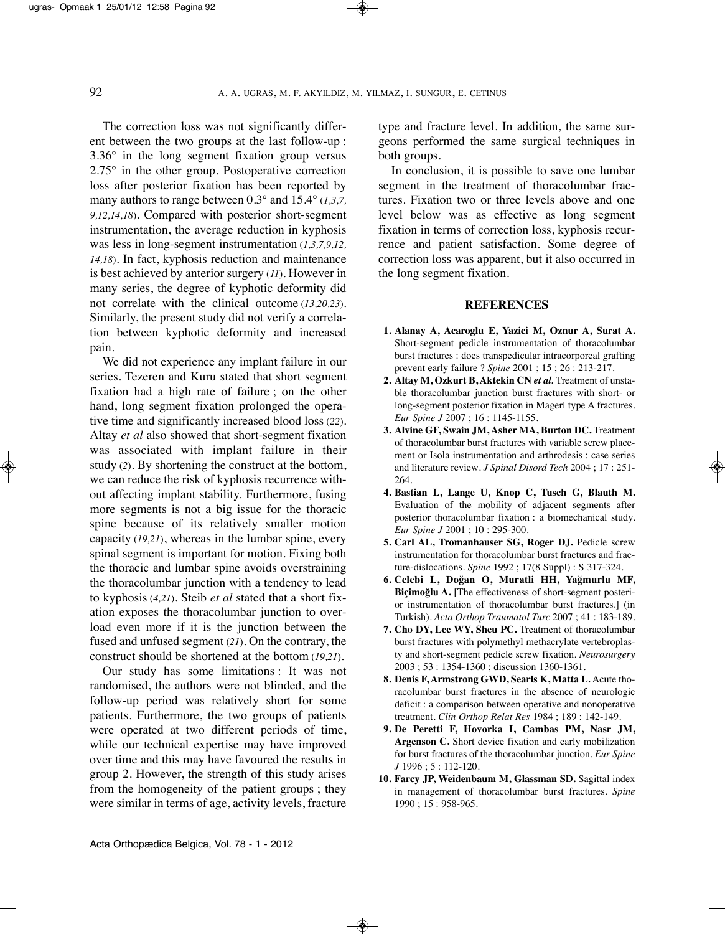The correction loss was not significantly different between the two groups at the last follow-up : 3.36° in the long segment fixation group versus 2.75° in the other group. Postoperative correction loss after posterior fixation has been reported by many authors to range between 0.3° and 15.4° (*1,3,7, 9,12,14,18*). Compared with posterior short-segment instrumentation, the average reduction in kyphosis was less in long-segment instrumentation (*1,3,7,9,12, 14,18*). In fact, kyphosis reduction and maintenance is best achieved by anterior surgery (*11*). However in many series, the degree of kyphotic deformity did not correlate with the clinical outcome (*13,20,23*). Similarly, the present study did not verify a correlation between kyphotic deformity and increased pain.

We did not experience any implant failure in our series. Tezeren and kuru stated that short segment fixation had a high rate of failure ; on the other hand, long segment fixation prolonged the operative time and significantly increased blood loss (*22*). Altay *et al* also showed that short-segment fixation was associated with implant failure in their study (*2*). By shortening the construct at the bottom, we can reduce the risk of kyphosis recurrence without affecting implant stability. Furthermore, fusing more segments is not a big issue for the thoracic spine because of its relatively smaller motion capacity (*19,21*), whereas in the lumbar spine, every spinal segment is important for motion. Fixing both the thoracic and lumbar spine avoids overstraining the thoracolumbar junction with a tendency to lead to kyphosis (*4,21*). Steib *et al* stated that a short fixation exposes the thoracolumbar junction to overload even more if it is the junction between the fused and unfused segment (*21*). On the contrary, the construct should be shortened at the bottom (*19,21*).

Our study has some limitations : It was not randomised, the authors were not blinded, and the follow-up period was relatively short for some patients. Furthermore, the two groups of patients were operated at two different periods of time, while our technical expertise may have improved over time and this may have favoured the results in group 2. However, the strength of this study arises from the homogeneity of the patient groups ; they were similar in terms of age, activity levels, fracture type and fracture level. In addition, the same surgeons performed the same surgical techniques in both groups.

In conclusion, it is possible to save one lumbar segment in the treatment of thoracolumbar fractures. Fixation two or three levels above and one level below was as effective as long segment fixation in terms of correction loss, kyphosis recurrence and patient satisfaction. Some degree of correction loss was apparent, but it also occurred in the long segment fixation.

#### **REFERENCES**

- **1. Alanay A, Acaroglu E, Yazici M, Oznur A, Surat A.** Short-segment pedicle instrumentation of thoracolumbar burst fractures : does transpedicular intracorporeal grafting prevent early failure ? *Spine* 2001 ; 15 ; 26 : 213-217.
- **2. Altay M, Ozkurt B, Aktekin CN** *et al.* Treatment of unstable thoracolumbar junction burst fractures with short- or long-segment posterior fixation in Magerl type A fractures. *Eur Spine J* 2007 ; 16 : 1145-1155.
- **3. Alvine GF, Swain JM, Asher MA, Burton DC.** Treatment of thoracolumbar burst fractures with variable screw placement or Isola instrumentation and arthrodesis : case series and literature review*. J Spinal Disord Tech* 2004 ; 17 : 251- 264.
- **4. Bastian L, Lange U, Knop C, Tusch G, Blauth M.** Evaluation of the mobility of adjacent segments after posterior thoracolumbar fixation : a biomechanical study. *Eur Spine J* 2001 ; 10 : 295-300.
- **5. Carl AL, Tromanhauser SG, Roger DJ.** Pedicle screw instrumentation for thoracolumbar burst fractures and fracture-dislocations. *Spine* 1992 ; 17(8 Suppl) : S 317-324.
- **6. Celebi L, Doğan O, Muratli HH, Yağmurlu MF, Biçimoğlu A.** [The effectiveness of short-segment posterior instrumentation of thoracolumbar burst fractures.] (in Turkish). *Acta Orthop Traumatol Turc* 2007 ; 41 : 183-189.
- **7. Cho DY, Lee WY, Sheu PC.** Treatment of thoracolumbar burst fractures with polymethyl methacrylate vertebroplasty and short-segment pedicle screw fixation. *Neurosurgery* 2003 ; 53 : 1354-1360 ; discussion 1360-1361.
- **8. Denis F, Armstrong GWD, Searls K, Matta L***.* Acute thoracolumbar burst fractures in the absence of neurologic deficit : a comparison between operative and nonoperative treatment. *Clin Orthop Relat Res* 1984 ; 189 : 142-149.
- **9. De Peretti F, Hovorka I, Cambas PM, Nasr JM, Argenson C.** Short device fixation and early mobilization for burst fractures of the thoracolumbar junction. *Eur Spine J* 1996 ; 5 : 112-120.
- **10. Farcy JP, Weidenbaum M, Glassman SD.** Sagittal index in management of thoracolumbar burst fractures. *Spine* 1990 ; 15 : 958-965.